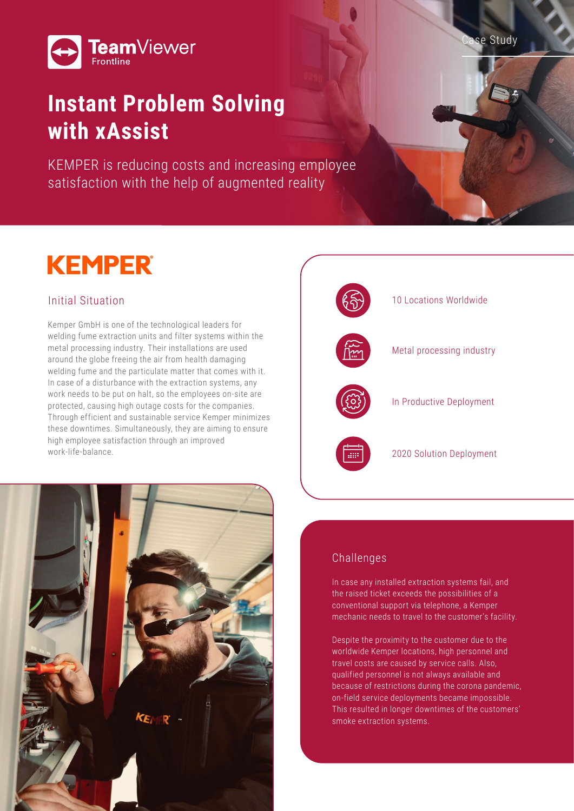



## **Instant Problem Solving with xAssist**

KEMPER is reducing costs and increasing employee satisfaction with the help of augmented reality

# **KEMPER**

### Initial Situation

Kemper GmbH is one of the technological leaders for welding fume extraction units and filter systems within the metal processing industry. Their installations are used around the globe freeing the air from health damaging welding fume and the particulate matter that comes with it. In case of a disturbance with the extraction systems, any work needs to be put on halt, so the employees on-site are protected, causing high outage costs for the companies. Through efficient and sustainable service Kemper minimizes these downtimes. Simultaneously, they are aiming to ensure high employee satisfaction through an improved work-life-balance.



#### Challenges

In case any installed extraction systems fail, and the raised ticket exceeds the possibilities of a conventional support via telephone, a Kemper mechanic needs to travel to the customer's facility.

Despite the proximity to the customer due to the worldwide Kemper locations, high personnel and travel costs are caused by service calls. Also, qualified personnel is not always available and because of restrictions during the corona pandemic, on-field service deployments became impossible. This resulted in longer downtimes of the customers' smoke extraction systems.